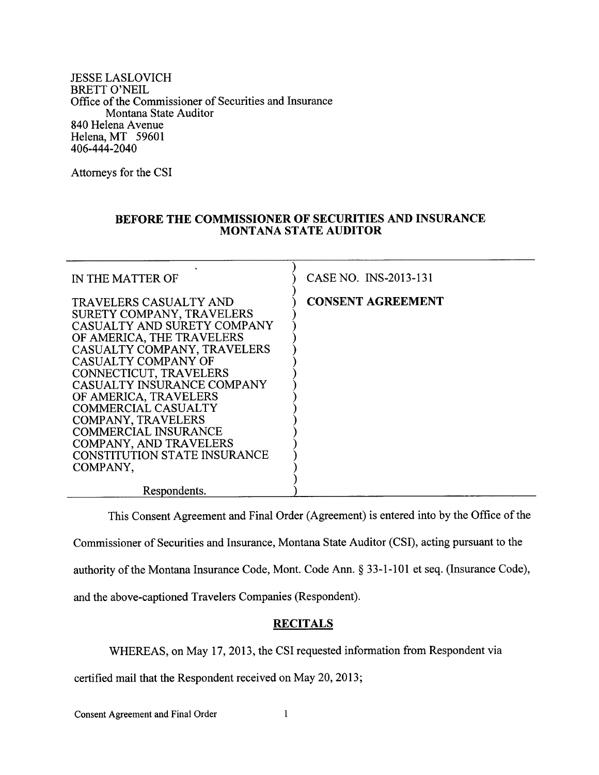JESSE LASLOVICH BRETT O'NEIL Office of the Commissioner of Securities and Insurance Montana State Auditor 840 Helena Avenue Helena, MT <sup>59601</sup> 406-444-2040

Attorneys for the CSI

## BEFORE THE COMMISSIONER OF SECURITIES AND INSURANCE MONTANA STATE AUDITOR

| IN THE MATTER OF                                                                                                                                                                                                                                                                                                                                                                                                       | CASE NO. INS-2013-131    |
|------------------------------------------------------------------------------------------------------------------------------------------------------------------------------------------------------------------------------------------------------------------------------------------------------------------------------------------------------------------------------------------------------------------------|--------------------------|
| TRAVELERS CASUALTY AND<br>SURETY COMPANY, TRAVELERS<br>CASUALTY AND SURETY COMPANY<br>OF AMERICA, THE TRAVELERS<br>CASUALTY COMPANY, TRAVELERS<br>CASUALTY COMPANY OF<br>CONNECTICUT, TRAVELERS<br>CASUALTY INSURANCE COMPANY<br>OF AMERICA, TRAVELERS<br><b>COMMERCIAL CASUALTY</b><br>COMPANY, TRAVELERS<br><b>COMMERCIAL INSURANCE</b><br>COMPANY, AND TRAVELERS<br><b>CONSTITUTION STATE INSURANCE</b><br>COMPANY, | <b>CONSENT AGREEMENT</b> |
| Respondents.                                                                                                                                                                                                                                                                                                                                                                                                           |                          |

This Consent Agreement and Final Order (Agreement) is entered into by the Office of the Commissioner of Securities and Insurance, Montana State Auditor (CSD, acting pursuant to the authority of the Montana Insurance Code, Mont. Code Ann. \$ 33-1-101 et seq. (Insurance Code), and the above-captioned Travelers Companies (Respondent).

## **RECITALS**

WHEREAS, on May 17,2013, the CSI requested information from Respondent via

certified mail that the Respondent received on May 20,2013;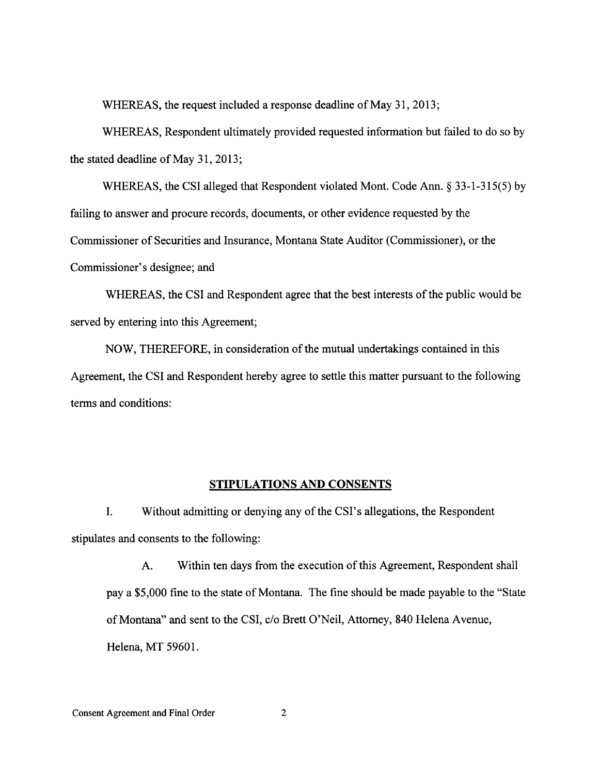WHEREAS, the request included a response deadline of May 31, 2013;

WHEREAS, Respondent ultimately provided requested information but failed to do so by the stated deadline of May 31,2013;

WHEREAS, the CSI alleged that Respondent violated Mont. Code Ann. § 33-1-315(5) by failing to answer and procure records, documents, or other evidence requested by the Commissioner of Securities and Insurance, Montana State Auditor (Commissioner), or the Commissioner's designee; and

WHEREAS, the CSI and Respondent agree that the best interests of the public would be served by entering into this Agreement;

NOW, THEREFORE, in consideration of the mutual undertakings contained in this Agreement, the CSI and Respondent hereby agree to settle this matter pursuant to the following terms and conditions:

## STIPULATIONS AND CONSENTS

I. Without admitting or denying any of the CSI's allegations, the Respondent stipulates and consents to the following:

A. Within ten days from the execution of this Agreement, Respondent shall pay a \$5,000 fine to the state of Montana. The fine should be made payable to the "State of Montana" and sent to the CSI, c/o Brett O'Neil, Attorney, 840 Helena Avenue, Helena, MT 59601.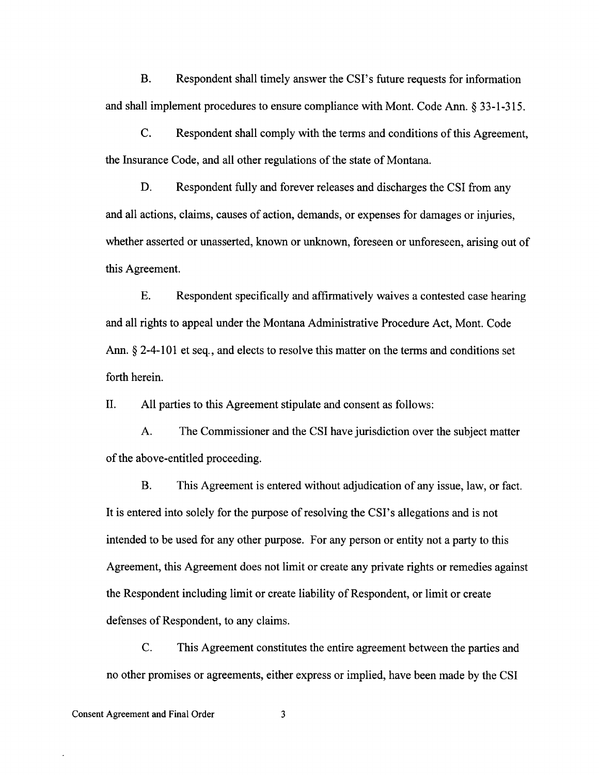B. Respondent shall timely answer the CSI's future requests for information and shall implement procedures to ensure compliance with Mont. Code Ann. \$ 33-1-315.

C. Respondent shall comply with the terms and conditions of this Agreement, the Insurance Code, and all other regulations of the state of Montana.

D. Respondent fully and forever releases and discharges the CSI from any and all actions, claims, causes of action, demands, or expenses for damages or injuries, whether asserted or unasserted, known or unknown, foreseen or unforeseen, arising out of this Agreement.

E. Respondent specifically and affirmatively waives a contested case hearing and all rights to appeal under the Montana Administrative Procedure Act, Mont. Code Ann. § 2-4-101 et seq., and elects to resolve this matter on the terms and conditions set forth herein.

II. All parties to this Agreement stipulate and consent as follows:

A. The Commissioner and the CSI have jurisdiction over the subject matter of the above-entitled proceeding.

B. This Agreement is entered without adjudication of any issue, law, or fact. It is entered into solely for the purpose of resolving the CSI's allegations and is not intended to be used for any other purpose. For any person or entity not a party to this Agreement, this Agreement does not limit or create any private rights or remedies against the Respondent including limit or create liability of Respondent, or limit or create defenses of Respondent, to any claims.

C. This Agreement constitutes the entire agreement between the parties and no other promises or agreements, either express or implied, have been made by the CSI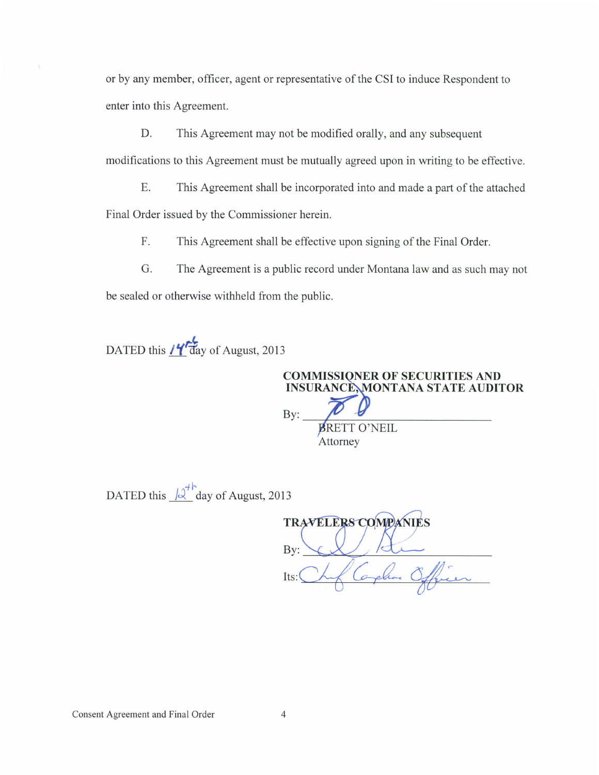or by any member, officer, agent or representative of the CSI to induce Respondent to enter into this Agreement.

D. This Agreement may not be modified orally, and any subsequent modifications to this Agreement must be mutually agreed upon in writing to be effective.

E. This Agreement shall be incorporated into and made a part of the attached Final Order issued by the Commissioner herein.

F. This Agreement shall be effective upon signing of the Final Order.

G. The Agreement is a public record under Montana law and as such may not be sealed or otherwise withheld from the public.

DATED this  $14$  day of August, 2013

**COMMISSIONER OF SECURITIES AND** INSURANCÈ, MONTANA STATE AUDITOR By: BRETT O'NEIL Attorney

DATED this  $\sqrt{2^+}$  day of August, 2013

**TRAVELERS COMPANIES** By: Corphan Officer  $Its:$